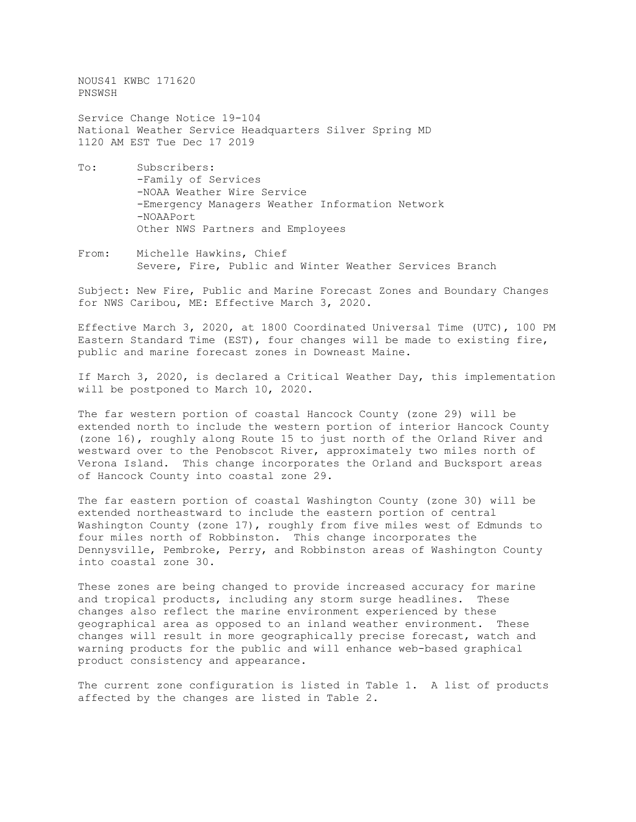NOUS41 KWBC 171620 PNSWSH

Service Change Notice 19-104 National Weather Service Headquarters Silver Spring MD 1120 AM EST Tue Dec 17 2019

- To: Subscribers: -Family of Services -NOAA Weather Wire Service -Emergency Managers Weather Information Network -NOAAPort Other NWS Partners and Employees
- From: Michelle Hawkins, Chief Severe, Fire, Public and Winter Weather Services Branch

Subject: New Fire, Public and Marine Forecast Zones and Boundary Changes for NWS Caribou, ME: Effective March 3, 2020.

Effective March 3, 2020, at 1800 Coordinated Universal Time (UTC), 100 PM Eastern Standard Time (EST), four changes will be made to existing fire, public and marine forecast zones in Downeast Maine.

If March 3, 2020, is declared a Critical Weather Day, this implementation will be postponed to March 10, 2020.

The far western portion of coastal Hancock County (zone 29) will be extended north to include the western portion of interior Hancock County (zone 16), roughly along Route 15 to just north of the Orland River and westward over to the Penobscot River, approximately two miles north of Verona Island. This change incorporates the Orland and Bucksport areas of Hancock County into coastal zone 29.

The far eastern portion of coastal Washington County (zone 30) will be extended northeastward to include the eastern portion of central Washington County (zone 17), roughly from five miles west of Edmunds to four miles north of Robbinston. This change incorporates the Dennysville, Pembroke, Perry, and Robbinston areas of Washington County into coastal zone 30.

These zones are being changed to provide increased accuracy for marine and tropical products, including any storm surge headlines. These changes also reflect the marine environment experienced by these geographical area as opposed to an inland weather environment. These changes will result in more geographically precise forecast, watch and warning products for the public and will enhance web-based graphical product consistency and appearance.

The current zone configuration is listed in Table 1. A list of products affected by the changes are listed in Table 2.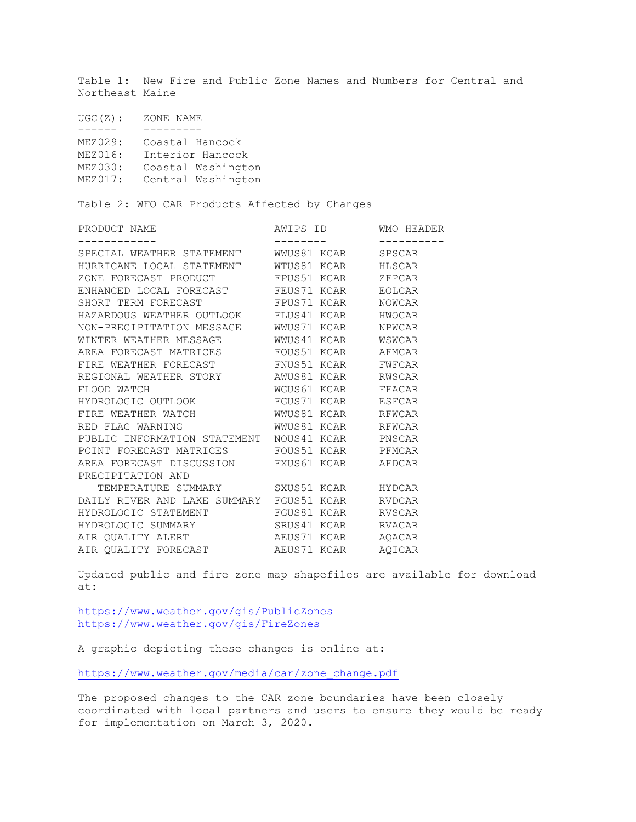Table 1: New Fire and Public Zone Names and Numbers for Central and Northeast Maine

| UGC(Z): | ZONE NAME          |
|---------|--------------------|
|         |                    |
| MEZ029: | Coastal Hancock    |
| MEZ016: | Interior Hancock   |
| MEZ030: | Coastal Washington |
| MEZ017: | Central Washington |
|         |                    |

Table 2: WFO CAR Products Affected by Changes

| SPSCAR                                                                                                                                                                                                                                                                                                                                                                                                                                                                                                                                                                                                                                                                                                                                                                                                                                                                                                                                                                                                                                |
|---------------------------------------------------------------------------------------------------------------------------------------------------------------------------------------------------------------------------------------------------------------------------------------------------------------------------------------------------------------------------------------------------------------------------------------------------------------------------------------------------------------------------------------------------------------------------------------------------------------------------------------------------------------------------------------------------------------------------------------------------------------------------------------------------------------------------------------------------------------------------------------------------------------------------------------------------------------------------------------------------------------------------------------|
|                                                                                                                                                                                                                                                                                                                                                                                                                                                                                                                                                                                                                                                                                                                                                                                                                                                                                                                                                                                                                                       |
|                                                                                                                                                                                                                                                                                                                                                                                                                                                                                                                                                                                                                                                                                                                                                                                                                                                                                                                                                                                                                                       |
|                                                                                                                                                                                                                                                                                                                                                                                                                                                                                                                                                                                                                                                                                                                                                                                                                                                                                                                                                                                                                                       |
|                                                                                                                                                                                                                                                                                                                                                                                                                                                                                                                                                                                                                                                                                                                                                                                                                                                                                                                                                                                                                                       |
|                                                                                                                                                                                                                                                                                                                                                                                                                                                                                                                                                                                                                                                                                                                                                                                                                                                                                                                                                                                                                                       |
|                                                                                                                                                                                                                                                                                                                                                                                                                                                                                                                                                                                                                                                                                                                                                                                                                                                                                                                                                                                                                                       |
|                                                                                                                                                                                                                                                                                                                                                                                                                                                                                                                                                                                                                                                                                                                                                                                                                                                                                                                                                                                                                                       |
|                                                                                                                                                                                                                                                                                                                                                                                                                                                                                                                                                                                                                                                                                                                                                                                                                                                                                                                                                                                                                                       |
|                                                                                                                                                                                                                                                                                                                                                                                                                                                                                                                                                                                                                                                                                                                                                                                                                                                                                                                                                                                                                                       |
|                                                                                                                                                                                                                                                                                                                                                                                                                                                                                                                                                                                                                                                                                                                                                                                                                                                                                                                                                                                                                                       |
|                                                                                                                                                                                                                                                                                                                                                                                                                                                                                                                                                                                                                                                                                                                                                                                                                                                                                                                                                                                                                                       |
|                                                                                                                                                                                                                                                                                                                                                                                                                                                                                                                                                                                                                                                                                                                                                                                                                                                                                                                                                                                                                                       |
|                                                                                                                                                                                                                                                                                                                                                                                                                                                                                                                                                                                                                                                                                                                                                                                                                                                                                                                                                                                                                                       |
|                                                                                                                                                                                                                                                                                                                                                                                                                                                                                                                                                                                                                                                                                                                                                                                                                                                                                                                                                                                                                                       |
|                                                                                                                                                                                                                                                                                                                                                                                                                                                                                                                                                                                                                                                                                                                                                                                                                                                                                                                                                                                                                                       |
|                                                                                                                                                                                                                                                                                                                                                                                                                                                                                                                                                                                                                                                                                                                                                                                                                                                                                                                                                                                                                                       |
|                                                                                                                                                                                                                                                                                                                                                                                                                                                                                                                                                                                                                                                                                                                                                                                                                                                                                                                                                                                                                                       |
|                                                                                                                                                                                                                                                                                                                                                                                                                                                                                                                                                                                                                                                                                                                                                                                                                                                                                                                                                                                                                                       |
|                                                                                                                                                                                                                                                                                                                                                                                                                                                                                                                                                                                                                                                                                                                                                                                                                                                                                                                                                                                                                                       |
|                                                                                                                                                                                                                                                                                                                                                                                                                                                                                                                                                                                                                                                                                                                                                                                                                                                                                                                                                                                                                                       |
|                                                                                                                                                                                                                                                                                                                                                                                                                                                                                                                                                                                                                                                                                                                                                                                                                                                                                                                                                                                                                                       |
|                                                                                                                                                                                                                                                                                                                                                                                                                                                                                                                                                                                                                                                                                                                                                                                                                                                                                                                                                                                                                                       |
|                                                                                                                                                                                                                                                                                                                                                                                                                                                                                                                                                                                                                                                                                                                                                                                                                                                                                                                                                                                                                                       |
|                                                                                                                                                                                                                                                                                                                                                                                                                                                                                                                                                                                                                                                                                                                                                                                                                                                                                                                                                                                                                                       |
| SPECIAL WEATHER STATEMENT WWUS81 KCAR<br>HURRICANE LOCAL STATEMENT WTUS81 KCAR HLSCAR<br>ZONE FORECAST PRODUCT FPUS51 KCAR ZFPCAR<br>ENHANCED LOCAL FORECAST FEUS71 KCAR EOLCAR<br>SHORT TERM FORECAST <b>EPUST F</b> FOR THE ROWCAR<br>HAZARDOUS WEATHER OUTLOOK FLUS41 KCAR HWOCAR<br>NON-PRECIPITATION MESSAGE WWUS71 KCAR NPWCAR<br>WINTER WEATHER MESSAGE 6 WWUS41 KCAR 6 WSWCAR<br>AREA FORECAST MATRICES FOUS51 KCAR AFMCAR<br>FIRE WEATHER FORECAST FNUS51 KCAR FWFCAR<br>WGUS61 KCAR       FFACAR<br>HYDROLOGIC OUTLOOK FGUS71 KCAR ESFCAR<br>FIRE WEATHER WATCH WWUS81 KCAR RFWCAR<br>RED FLAG WARNING WWUS81 KCAR REWCAR<br>PUBLIC INFORMATION STATEMENT NOUS41 KCAR PNSCAR<br>POINT FORECAST MATRICES FOUS51 KCAR PFMCAR<br>AREA FORECAST DISCUSSION FXUS61 KCAR AFDCAR<br>TEMPERATURE SUMMARY SXUS51 KCAR HYDCAR<br>DAILY RIVER AND LAKE SUMMARY FGUS51 KCAR RVDCAR<br>HYDROLOGIC STATEMENT FGUS81 KCAR RVSCAR<br>HYDROLOGIC SUMMARY SRUS41 KCAR RVACAR<br>AEUS71 KCAR AQACAR<br>AIR QUALITY FORECAST AEUS71 KCAR AQICAR |

Updated public and fire zone map shapefiles are available for download at:

<https://www.weather.gov/gis/PublicZones> <https://www.weather.gov/gis/FireZones>

A graphic depicting these changes is online at:

[https://www.weather.gov/media/car/zone\\_change.pdf](https://www.weather.gov/media/car/zone_change.pdf)

The proposed changes to the CAR zone boundaries have been closely coordinated with local partners and users to ensure they would be ready for implementation on March 3, 2020.